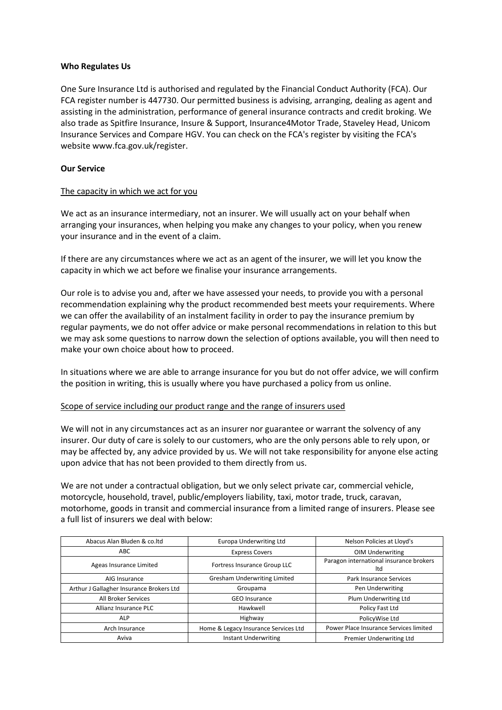#### **Who Regulates Us**

One Sure Insurance Ltd is authorised and regulated by the Financial Conduct Authority (FCA). Our FCA register number is 447730. Our permitted business is advising, arranging, dealing as agent and assisting in the administration, performance of general insurance contracts and credit broking. We also trade as Spitfire Insurance, Insure & Support, Insurance4Motor Trade, Staveley Head, Unicom Insurance Services and Compare HGV. You can check on the FCA's register by visiting the FCA's website www.fca.gov.uk/register.

## **Our Service**

#### The capacity in which we act for you

We act as an insurance intermediary, not an insurer. We will usually act on your behalf when arranging your insurances, when helping you make any changes to your policy, when you renew your insurance and in the event of a claim.

If there are any circumstances where we act as an agent of the insurer, we will let you know the capacity in which we act before we finalise your insurance arrangements.

Our role is to advise you and, after we have assessed your needs, to provide you with a personal recommendation explaining why the product recommended best meets your requirements. Where we can offer the availability of an instalment facility in order to pay the insurance premium by regular payments, we do not offer advice or make personal recommendations in relation to this but we may ask some questions to narrow down the selection of options available, you will then need to make your own choice about how to proceed.

In situations where we are able to arrange insurance for you but do not offer advice, we will confirm the position in writing, this is usually where you have purchased a policy from us online.

#### Scope of service including our product range and the range of insurers used

We will not in any circumstances act as an insurer nor guarantee or warrant the solvency of any insurer. Our duty of care is solely to our customers, who are the only persons able to rely upon, or may be affected by, any advice provided by us. We will not take responsibility for anyone else acting upon advice that has not been provided to them directly from us.

We are not under a contractual obligation, but we only select private car, commercial vehicle, motorcycle, household, travel, public/employers liability, taxi, motor trade, truck, caravan, motorhome, goods in transit and commercial insurance from a limited range of insurers. Please see a full list of insurers we deal with below:

| Abacus Alan Bluden & co.ltd              | <b>Europa Underwriting Ltd</b>       | Nelson Policies at Lloyd's                     |  |
|------------------------------------------|--------------------------------------|------------------------------------------------|--|
| ABC                                      | <b>Express Covers</b>                | <b>OIM Underwriting</b>                        |  |
| Ageas Insurance Limited                  | Fortress Insurance Group LLC         | Paragon international insurance brokers<br>ltd |  |
| AIG Insurance                            | <b>Gresham Underwriting Limited</b>  | Park Insurance Services                        |  |
| Arthur J Gallagher Insurance Brokers Ltd | Groupama                             | Pen Underwriting                               |  |
| All Broker Services                      | <b>GEO Insurance</b>                 | Plum Underwriting Ltd                          |  |
| Allianz Insurance PLC                    | Hawkwell                             | Policy Fast Ltd                                |  |
| <b>ALP</b>                               | Highway                              | PolicyWise Ltd                                 |  |
| Arch Insurance                           | Home & Legacy Insurance Services Ltd | Power Place Insurance Services limited         |  |
| Aviva                                    | <b>Instant Underwriting</b>          | Premier Underwriting Ltd                       |  |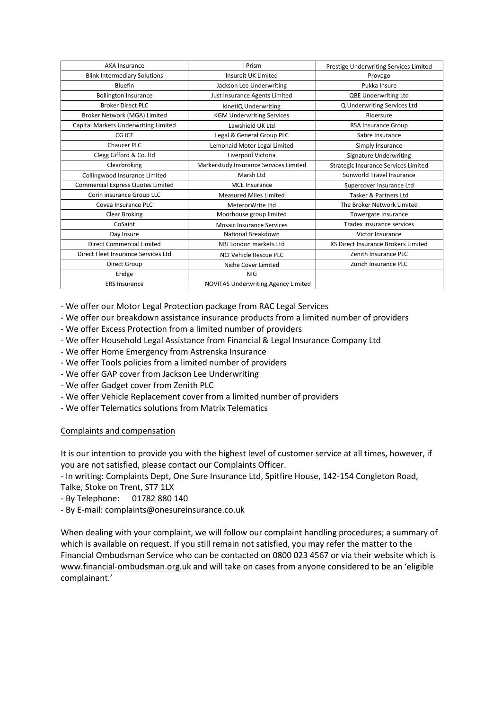| <b>AXA Insurance</b>                     | I-Prism                                    | Prestige Underwriting Services Limited |
|------------------------------------------|--------------------------------------------|----------------------------------------|
| <b>Blink Intermediary Solutions</b>      | <b>Insureit UK Limited</b>                 | Provego                                |
| Bluefin                                  | Jackson Lee Underwriting                   | Pukka Insure                           |
| <b>Bollington Insurance</b>              | Just Insurance Agents Limited              | <b>QBE Underwriting Ltd</b>            |
| <b>Broker Direct PLC</b>                 | kinetiQ Underwriting                       | Q Underwriting Services Ltd            |
| Broker Network (MGA) Limited             | <b>KGM Underwriting Services</b>           | Ridersure                              |
| Capital Markets Underwriting Limited     | Lawshield UK Ltd                           | <b>RSA Insurance Group</b>             |
| CG ICE                                   | Legal & General Group PLC                  | Sabre Insurance                        |
| <b>Chaucer PLC</b>                       | Lemonaid Motor Legal Limited               | Simply Insurance                       |
| Clegg Gifford & Co. Itd                  | Liverpool Victoria                         | <b>Signature Underwriting</b>          |
| Clearbroking                             | Markerstudy Insurance Services Limited     | Strategic Insurance Services Limited   |
| Collingwood Insurance Limited            | Marsh Ltd                                  | Sunworld Travel Insurance              |
| <b>Commercial Express Quotes Limited</b> | <b>MCE</b> Insurance                       | Supercover Insurance Ltd               |
| Corin insurance Group LLC                | <b>Measured Miles Limited</b>              | Tasker & Partners Ltd                  |
| Covea Insurance PLC                      | MeterorWrite Ltd                           | The Broker Network Limited             |
| Clear Broking                            | Moorhouse group limited                    | Towergate Insurance                    |
| CoSaint                                  | <b>Mosaic Insurance Services</b>           | Tradex insurance services              |
| Day Insure                               | National Breakdown                         | Victor Insurance                       |
| Direct Commercial Limited                | NBJ London markets Ltd                     | XS Direct Insurance Brokers Limited    |
| Direct Fleet Insurance Services Ltd      | <b>NCI Vehicle Rescue PLC</b>              | Zenith Insurance PLC                   |
| Direct Group                             | Niche Cover Limited                        | Zurich Insurance PLC                   |
| Eridge                                   | <b>NIG</b>                                 |                                        |
| <b>ERS Insurance</b>                     | <b>NOVITAS Underwriting Agency Limited</b> |                                        |

- We offer our Motor Legal Protection package from RAC Legal Services

- We offer our breakdown assistance insurance products from a limited number of providers

- We offer Excess Protection from a limited number of providers
- We offer Household Legal Assistance from Financial & Legal Insurance Company Ltd
- We offer Home Emergency from Astrenska Insurance
- We offer Tools policies from a limited number of providers
- We offer GAP cover from Jackson Lee Underwriting
- We offer Gadget cover from Zenith PLC
- We offer Vehicle Replacement cover from a limited number of providers
- We offer Telematics solutions from Matrix Telematics

## Complaints and compensation

It is our intention to provide you with the highest level of customer service at all times, however, if you are not satisfied, please contact our Complaints Officer.

- In writing: Complaints Dept, One Sure Insurance Ltd, Spitfire House, 142-154 Congleton Road,

Talke, Stoke on Trent, ST7 1LX

- By Telephone: 01782 880 140
- By E-mail: complaints@onesureinsurance.co.uk

When dealing with your complaint, we will follow our complaint handling procedures; a summary of which is available on request. If you still remain not satisfied, you may refer the matter to the Financial Ombudsman Service who can be contacted on 0800 023 4567 or via their website which is [www.financial-ombudsman.org.uk](http://www.financial-ombudsman.org.uk/) and will take on cases from anyone considered to be an 'eligible complainant.'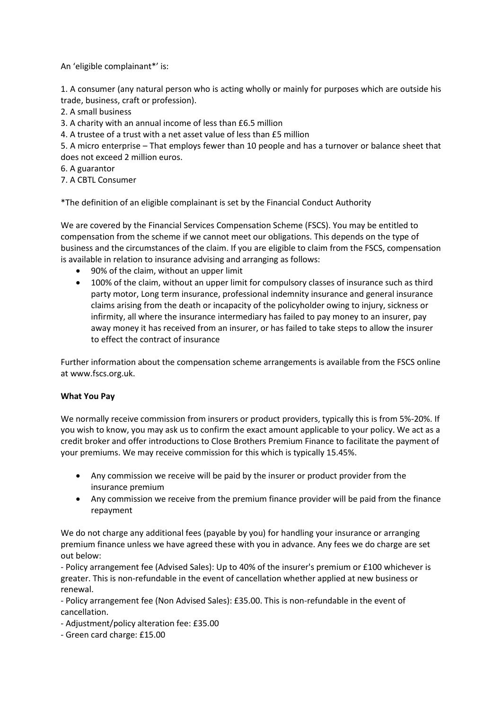An 'eligible complainant\*' is:

1. A consumer (any natural person who is acting wholly or mainly for purposes which are outside his trade, business, craft or profession).

2. A small business

3. A charity with an annual income of less than £6.5 million

4. A trustee of a trust with a net asset value of less than £5 million

5. A micro enterprise – That employs fewer than 10 people and has a turnover or balance sheet that does not exceed 2 million euros.

6. A guarantor

7. A CBTL Consumer

\*The definition of an eligible complainant is set by the Financial Conduct Authority

We are covered by the Financial Services Compensation Scheme (FSCS). You may be entitled to compensation from the scheme if we cannot meet our obligations. This depends on the type of business and the circumstances of the claim. If you are eligible to claim from the FSCS, compensation is available in relation to insurance advising and arranging as follows:

- 90% of the claim, without an upper limit
- 100% of the claim, without an upper limit for compulsory classes of insurance such as third party motor, Long term insurance, professional indemnity insurance and general insurance claims arising from the death or incapacity of the policyholder owing to injury, sickness or infirmity, all where the insurance intermediary has failed to pay money to an insurer, pay away money it has received from an insurer, or has failed to take steps to allow the insurer to effect the contract of insurance

Further information about the compensation scheme arrangements is available from the FSCS online at www.fscs.org.uk.

## **What You Pay**

We normally receive commission from insurers or product providers, typically this is from 5%-20%. If you wish to know, you may ask us to confirm the exact amount applicable to your policy. We act as a credit broker and offer introductions to Close Brothers Premium Finance to facilitate the payment of your premiums. We may receive commission for this which is typically 15.45%.

- Any commission we receive will be paid by the insurer or product provider from the insurance premium
- Any commission we receive from the premium finance provider will be paid from the finance repayment

We do not charge any additional fees (payable by you) for handling your insurance or arranging premium finance unless we have agreed these with you in advance. Any fees we do charge are set out below:

- Policy arrangement fee (Advised Sales): Up to 40% of the insurer's premium or £100 whichever is greater. This is non-refundable in the event of cancellation whether applied at new business or renewal.

- Policy arrangement fee (Non Advised Sales): £35.00. This is non-refundable in the event of cancellation.

- Adjustment/policy alteration fee: £35.00
- Green card charge: £15.00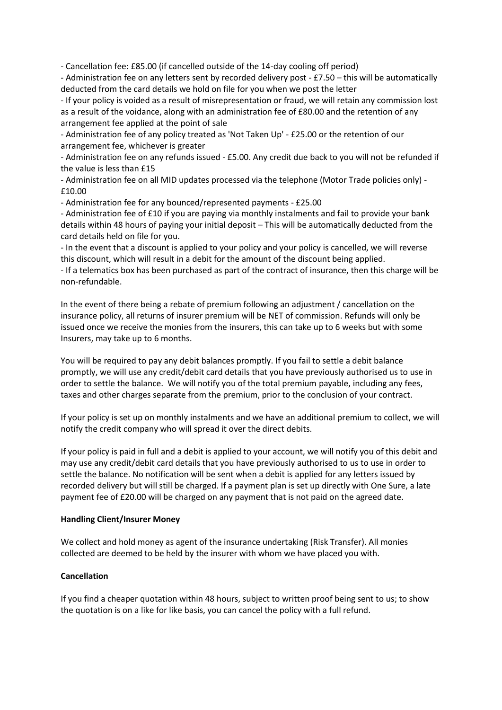- Cancellation fee: £85.00 (if cancelled outside of the 14-day cooling off period)

- Administration fee on any letters sent by recorded delivery post - £7.50 – this will be automatically deducted from the card details we hold on file for you when we post the letter

- If your policy is voided as a result of misrepresentation or fraud, we will retain any commission lost as a result of the voidance, along with an administration fee of £80.00 and the retention of any arrangement fee applied at the point of sale

- Administration fee of any policy treated as 'Not Taken Up' - £25.00 or the retention of our arrangement fee, whichever is greater

- Administration fee on any refunds issued - £5.00. Any credit due back to you will not be refunded if the value is less than £15

- Administration fee on all MID updates processed via the telephone (Motor Trade policies only) - £10.00

- Administration fee for any bounced/represented payments - £25.00

- Administration fee of £10 if you are paying via monthly instalments and fail to provide your bank details within 48 hours of paying your initial deposit – This will be automatically deducted from the card details held on file for you.

- In the event that a discount is applied to your policy and your policy is cancelled, we will reverse this discount, which will result in a debit for the amount of the discount being applied.

- If a telematics box has been purchased as part of the contract of insurance, then this charge will be non-refundable.

In the event of there being a rebate of premium following an adjustment / cancellation on the insurance policy, all returns of insurer premium will be NET of commission. Refunds will only be issued once we receive the monies from the insurers, this can take up to 6 weeks but with some Insurers, may take up to 6 months.

You will be required to pay any debit balances promptly. If you fail to settle a debit balance promptly, we will use any credit/debit card details that you have previously authorised us to use in order to settle the balance. We will notify you of the total premium payable, including any fees, taxes and other charges separate from the premium, prior to the conclusion of your contract.

If your policy is set up on monthly instalments and we have an additional premium to collect, we will notify the credit company who will spread it over the direct debits.

If your policy is paid in full and a debit is applied to your account, we will notify you of this debit and may use any credit/debit card details that you have previously authorised to us to use in order to settle the balance. No notification will be sent when a debit is applied for any letters issued by recorded delivery but will still be charged. If a payment plan is set up directly with One Sure, a late payment fee of £20.00 will be charged on any payment that is not paid on the agreed date.

## **Handling Client/Insurer Money**

We collect and hold money as agent of the insurance undertaking (Risk Transfer). All monies collected are deemed to be held by the insurer with whom we have placed you with.

## **Cancellation**

If you find a cheaper quotation within 48 hours, subject to written proof being sent to us; to show the quotation is on a like for like basis, you can cancel the policy with a full refund.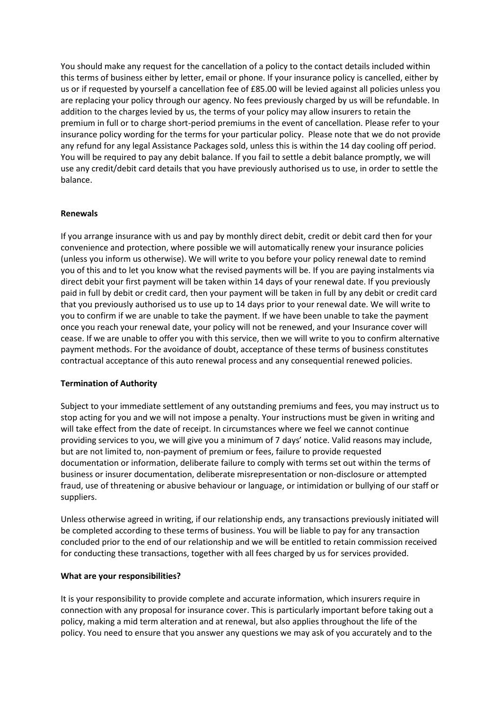You should make any request for the cancellation of a policy to the contact details included within this terms of business either by letter, email or phone. If your insurance policy is cancelled, either by us or if requested by yourself a cancellation fee of £85.00 will be levied against all policies unless you are replacing your policy through our agency. No fees previously charged by us will be refundable. In addition to the charges levied by us, the terms of your policy may allow insurers to retain the premium in full or to charge short-period premiums in the event of cancellation. Please refer to your insurance policy wording for the terms for your particular policy. Please note that we do not provide any refund for any legal Assistance Packages sold, unless this is within the 14 day cooling off period. You will be required to pay any debit balance. If you fail to settle a debit balance promptly, we will use any credit/debit card details that you have previously authorised us to use, in order to settle the balance.

## **Renewals**

If you arrange insurance with us and pay by monthly direct debit, credit or debit card then for your convenience and protection, where possible we will automatically renew your insurance policies (unless you inform us otherwise). We will write to you before your policy renewal date to remind you of this and to let you know what the revised payments will be. If you are paying instalments via direct debit your first payment will be taken within 14 days of your renewal date. If you previously paid in full by debit or credit card, then your payment will be taken in full by any debit or credit card that you previously authorised us to use up to 14 days prior to your renewal date. We will write to you to confirm if we are unable to take the payment. If we have been unable to take the payment once you reach your renewal date, your policy will not be renewed, and your Insurance cover will cease. If we are unable to offer you with this service, then we will write to you to confirm alternative payment methods. For the avoidance of doubt, acceptance of these terms of business constitutes contractual acceptance of this auto renewal process and any consequential renewed policies.

## **Termination of Authority**

Subject to your immediate settlement of any outstanding premiums and fees, you may instruct us to stop acting for you and we will not impose a penalty. Your instructions must be given in writing and will take effect from the date of receipt. In circumstances where we feel we cannot continue providing services to you, we will give you a minimum of 7 days' notice. Valid reasons may include, but are not limited to, non-payment of premium or fees, failure to provide requested documentation or information, deliberate failure to comply with terms set out within the terms of business or insurer documentation, deliberate misrepresentation or non-disclosure or attempted fraud, use of threatening or abusive behaviour or language, or intimidation or bullying of our staff or suppliers.

Unless otherwise agreed in writing, if our relationship ends, any transactions previously initiated will be completed according to these terms of business. You will be liable to pay for any transaction concluded prior to the end of our relationship and we will be entitled to retain commission received for conducting these transactions, together with all fees charged by us for services provided.

## **What are your responsibilities?**

It is your responsibility to provide complete and accurate information, which insurers require in connection with any proposal for insurance cover. This is particularly important before taking out a policy, making a mid term alteration and at renewal, but also applies throughout the life of the policy. You need to ensure that you answer any questions we may ask of you accurately and to the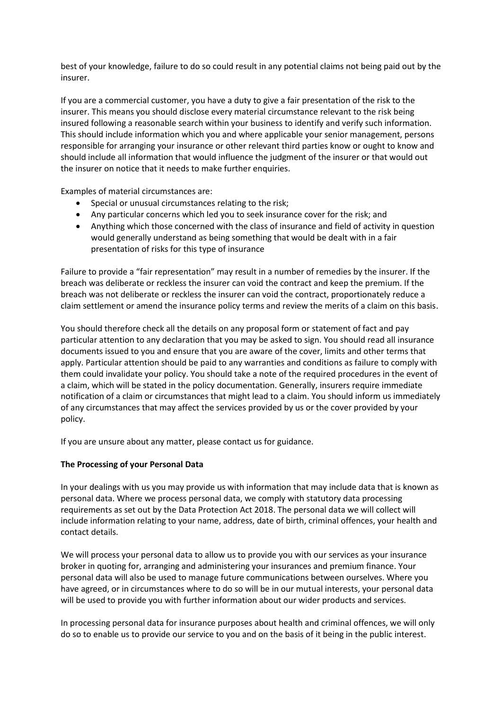best of your knowledge, failure to do so could result in any potential claims not being paid out by the insurer.

If you are a commercial customer, you have a duty to give a fair presentation of the risk to the insurer. This means you should disclose every material circumstance relevant to the risk being insured following a reasonable search within your business to identify and verify such information. This should include information which you and where applicable your senior management, persons responsible for arranging your insurance or other relevant third parties know or ought to know and should include all information that would influence the judgment of the insurer or that would out the insurer on notice that it needs to make further enquiries.

Examples of material circumstances are:

- Special or unusual circumstances relating to the risk;
- Any particular concerns which led you to seek insurance cover for the risk; and
- Anything which those concerned with the class of insurance and field of activity in question would generally understand as being something that would be dealt with in a fair presentation of risks for this type of insurance

Failure to provide a "fair representation" may result in a number of remedies by the insurer. If the breach was deliberate or reckless the insurer can void the contract and keep the premium. If the breach was not deliberate or reckless the insurer can void the contract, proportionately reduce a claim settlement or amend the insurance policy terms and review the merits of a claim on this basis.

You should therefore check all the details on any proposal form or statement of fact and pay particular attention to any declaration that you may be asked to sign. You should read all insurance documents issued to you and ensure that you are aware of the cover, limits and other terms that apply. Particular attention should be paid to any warranties and conditions as failure to comply with them could invalidate your policy. You should take a note of the required procedures in the event of a claim, which will be stated in the policy documentation. Generally, insurers require immediate notification of a claim or circumstances that might lead to a claim. You should inform us immediately of any circumstances that may affect the services provided by us or the cover provided by your policy.

If you are unsure about any matter, please contact us for guidance.

## **The Processing of your Personal Data**

In your dealings with us you may provide us with information that may include data that is known as personal data. Where we process personal data, we comply with statutory data processing requirements as set out by the Data Protection Act 2018. The personal data we will collect will include information relating to your name, address, date of birth, criminal offences, your health and contact details.

We will process your personal data to allow us to provide you with our services as your insurance broker in quoting for, arranging and administering your insurances and premium finance. Your personal data will also be used to manage future communications between ourselves. Where you have agreed, or in circumstances where to do so will be in our mutual interests, your personal data will be used to provide you with further information about our wider products and services.

In processing personal data for insurance purposes about health and criminal offences, we will only do so to enable us to provide our service to you and on the basis of it being in the public interest.